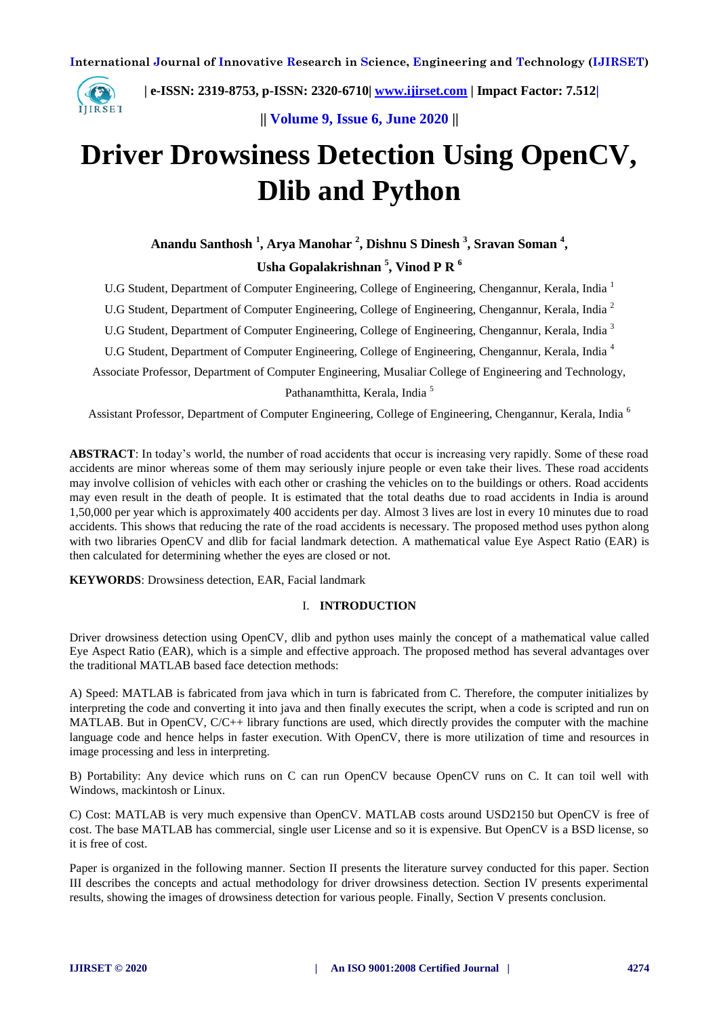

 **| e-ISSN: 2319-8753, p-ISSN: 2320-6710| [www.ijirset.com](http://www.ijirset.com/) | Impact Factor: 7.512|**

**|| Volume 9, Issue 6, June 2020 ||** 

# **Driver Drowsiness Detection Using OpenCV, Dlib and Python**

**Anandu Santhosh <sup>1</sup> , Arya Manohar <sup>2</sup> , Dishnu S Dinesh <sup>3</sup> , Sravan Soman <sup>4</sup> ,** 

# **Usha Gopalakrishnan <sup>5</sup> , Vinod P R <sup>6</sup>**

U.G Student, Department of Computer Engineering, College of Engineering, Chengannur, Kerala, India <sup>1</sup>

U.G Student, Department of Computer Engineering, College of Engineering, Chengannur, Kerala, India <sup>2</sup>

U.G Student, Department of Computer Engineering, College of Engineering, Chengannur, Kerala, India <sup>3</sup>

U.G Student, Department of Computer Engineering, College of Engineering, Chengannur, Kerala, India <sup>4</sup>

Associate Professor, Department of Computer Engineering, Musaliar College of Engineering and Technology, Pathanamthitta, Kerala, India <sup>5</sup>

Assistant Professor, Department of Computer Engineering, College of Engineering, Chengannur, Kerala, India <sup>6</sup>

**ABSTRACT**: In today's world, the number of road accidents that occur is increasing very rapidly. Some of these road accidents are minor whereas some of them may seriously injure people or even take their lives. These road accidents may involve collision of vehicles with each other or crashing the vehicles on to the buildings or others. Road accidents may even result in the death of people. It is estimated that the total deaths due to road accidents in India is around 1,50,000 per year which is approximately 400 accidents per day. Almost 3 lives are lost in every 10 minutes due to road accidents. This shows that reducing the rate of the road accidents is necessary. The proposed method uses python along with two libraries OpenCV and dlib for facial landmark detection. A mathematical value Eye Aspect Ratio (EAR) is then calculated for determining whether the eyes are closed or not.

**KEYWORDS**: Drowsiness detection, EAR, Facial landmark

## I. **INTRODUCTION**

Driver drowsiness detection using OpenCV, dlib and python uses mainly the concept of a mathematical value called Eye Aspect Ratio (EAR), which is a simple and effective approach. The proposed method has several advantages over the traditional MATLAB based face detection methods:

A) Speed: MATLAB is fabricated from java which in turn is fabricated from C. Therefore, the computer initializes by interpreting the code and converting it into java and then finally executes the script, when a code is scripted and run on MATLAB. But in OpenCV, C/C++ library functions are used, which directly provides the computer with the machine language code and hence helps in faster execution. With OpenCV, there is more utilization of time and resources in image processing and less in interpreting.

B) Portability: Any device which runs on C can run OpenCV because OpenCV runs on C. It can toil well with Windows, mackintosh or Linux.

C) Cost: MATLAB is very much expensive than OpenCV. MATLAB costs around USD2150 but OpenCV is free of cost. The base MATLAB has commercial, single user License and so it is expensive. But OpenCV is a BSD license, so it is free of cost.

Paper is organized in the following manner. Section II presents the literature survey conducted for this paper. Section III describes the concepts and actual methodology for driver drowsiness detection. Section IV presents experimental results, showing the images of drowsiness detection for various people. Finally, Section V presents conclusion.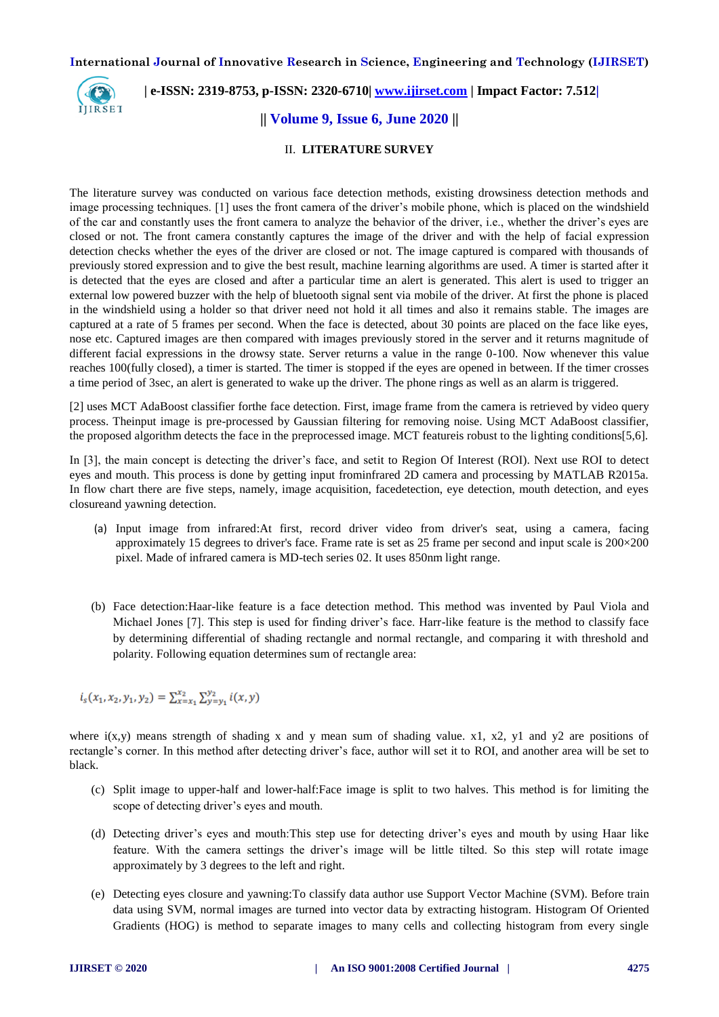

# **| e-ISSN: 2319-8753, p-ISSN: 2320-6710| [www.ijirset.com](http://www.ijirset.com/) | Impact Factor: 7.512|**

## **|| Volume 9, Issue 6, June 2020 ||**

#### II. **LITERATURE SURVEY**

The literature survey was conducted on various face detection methods, existing drowsiness detection methods and image processing techniques. [1] uses the front camera of the driver's mobile phone, which is placed on the windshield of the car and constantly uses the front camera to analyze the behavior of the driver, i.e., whether the driver's eyes are closed or not. The front camera constantly captures the image of the driver and with the help of facial expression detection checks whether the eyes of the driver are closed or not. The image captured is compared with thousands of previously stored expression and to give the best result, machine learning algorithms are used. A timer is started after it is detected that the eyes are closed and after a particular time an alert is generated. This alert is used to trigger an external low powered buzzer with the help of bluetooth signal sent via mobile of the driver. At first the phone is placed in the windshield using a holder so that driver need not hold it all times and also it remains stable. The images are captured at a rate of 5 frames per second. When the face is detected, about 30 points are placed on the face like eyes, nose etc. Captured images are then compared with images previously stored in the server and it returns magnitude of different facial expressions in the drowsy state. Server returns a value in the range 0-100. Now whenever this value reaches 100(fully closed), a timer is started. The timer is stopped if the eyes are opened in between. If the timer crosses a time period of 3sec, an alert is generated to wake up the driver. The phone rings as well as an alarm is triggered.

[2] uses MCT AdaBoost classifier forthe face detection. First, image frame from the camera is retrieved by video query process. Theinput image is pre-processed by Gaussian filtering for removing noise. Using MCT AdaBoost classifier, the proposed algorithm detects the face in the preprocessed image. MCT featureis robust to the lighting conditions[5,6].

In [3], the main concept is detecting the driver's face, and setit to Region Of Interest (ROI). Next use ROI to detect eyes and mouth. This process is done by getting input frominfrared 2D camera and processing by MATLAB R2015a. In flow chart there are five steps, namely, image acquisition, facedetection, eye detection, mouth detection, and eyes closureand yawning detection.

- (a) Input image from infrared:At first, record driver video from driver's seat, using a camera, facing approximately 15 degrees to driver's face. Frame rate is set as 25 frame per second and input scale is 200×200 pixel. Made of infrared camera is MD-tech series 02. It uses 850nm light range.
- (b) Face detection:Haar-like feature is a face detection method. This method was invented by Paul Viola and Michael Jones [7]. This step is used for finding driver's face. Harr-like feature is the method to classify face by determining differential of shading rectangle and normal rectangle, and comparing it with threshold and polarity. Following equation determines sum of rectangle area:

 $i_s(x_1, x_2, y_1, y_2) = \sum_{x=x_1}^{x_2} \sum_{y=y_1}^{y_2} i(x, y)$ 

where  $i(x,y)$  means strength of shading x and y mean sum of shading value. x1, x2, y1 and y2 are positions of rectangle's corner. In this method after detecting driver's face, author will set it to ROI, and another area will be set to black.

- (c) Split image to upper-half and lower-half:Face image is split to two halves. This method is for limiting the scope of detecting driver's eyes and mouth.
- (d) Detecting driver's eyes and mouth:This step use for detecting driver's eyes and mouth by using Haar like feature. With the camera settings the driver's image will be little tilted. So this step will rotate image approximately by 3 degrees to the left and right.
- (e) Detecting eyes closure and yawning:To classify data author use Support Vector Machine (SVM). Before train data using SVM, normal images are turned into vector data by extracting histogram. Histogram Of Oriented Gradients (HOG) is method to separate images to many cells and collecting histogram from every single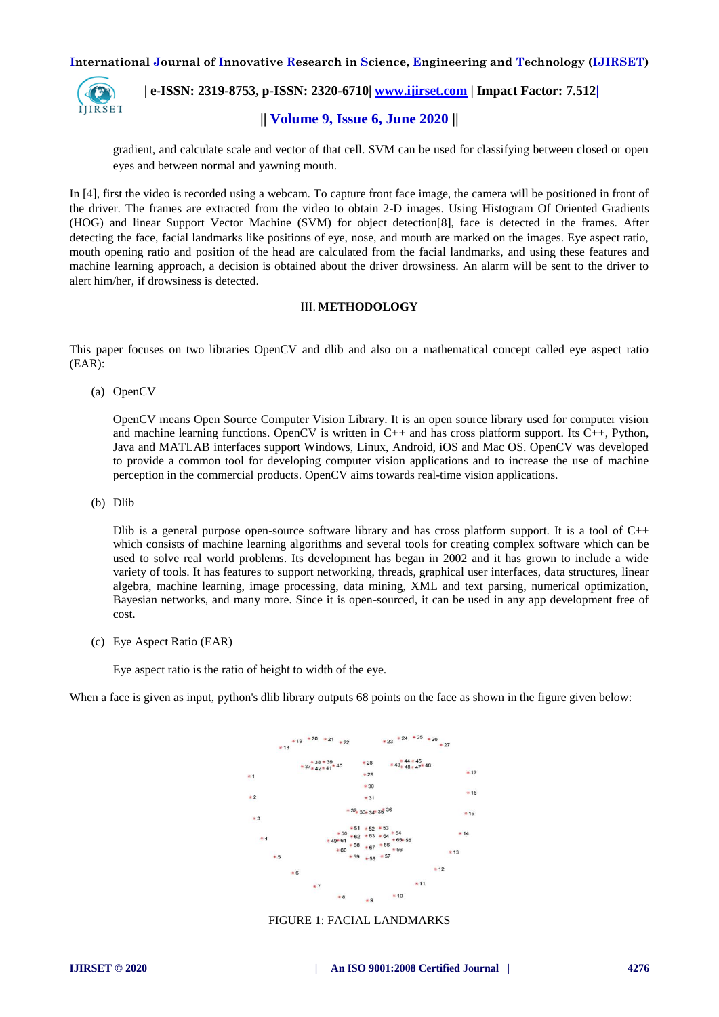

 **| e-ISSN: 2319-8753, p-ISSN: 2320-6710| [www.ijirset.com](http://www.ijirset.com/) | Impact Factor: 7.512|**

# **|| Volume 9, Issue 6, June 2020 ||**

gradient, and calculate scale and vector of that cell. SVM can be used for classifying between closed or open eyes and between normal and yawning mouth.

In [4], first the video is recorded using a webcam. To capture front face image, the camera will be positioned in front of the driver. The frames are extracted from the video to obtain 2-D images. Using Histogram Of Oriented Gradients (HOG) and linear Support Vector Machine (SVM) for object detection[8], face is detected in the frames. After detecting the face, facial landmarks like positions of eye, nose, and mouth are marked on the images. Eye aspect ratio, mouth opening ratio and position of the head are calculated from the facial landmarks, and using these features and machine learning approach, a decision is obtained about the driver drowsiness. An alarm will be sent to the driver to alert him/her, if drowsiness is detected.

#### III. **METHODOLOGY**

This paper focuses on two libraries OpenCV and dlib and also on a mathematical concept called eye aspect ratio (EAR):

(a) OpenCV

OpenCV means Open Source Computer Vision Library. It is an open source library used for computer vision and machine learning functions. OpenCV is written in  $C_{++}$  and has cross platform support. Its  $C_{++}$ , Python, Java and MATLAB interfaces support Windows, Linux, Android, iOS and Mac OS. OpenCV was developed to provide a common tool for developing computer vision applications and to increase the use of machine perception in the commercial products. OpenCV aims towards real-time vision applications.

(b) Dlib

Dlib is a general purpose open-source software library and has cross platform support. It is a tool of  $C_{++}$ which consists of machine learning algorithms and several tools for creating complex software which can be used to solve real world problems. Its development has began in 2002 and it has grown to include a wide variety of tools. It has features to support networking, threads, graphical user interfaces, data structures, linear algebra, machine learning, image processing, data mining, XML and text parsing, numerical optimization, Bayesian networks, and many more. Since it is open-sourced, it can be used in any app development free of cost.

(c) Eye Aspect Ratio (EAR)

Eye aspect ratio is the ratio of height to width of the eye.

When a face is given as input, python's dlib library outputs 68 points on the face as shown in the figure given below:



#### FIGURE 1: FACIAL LANDMARKS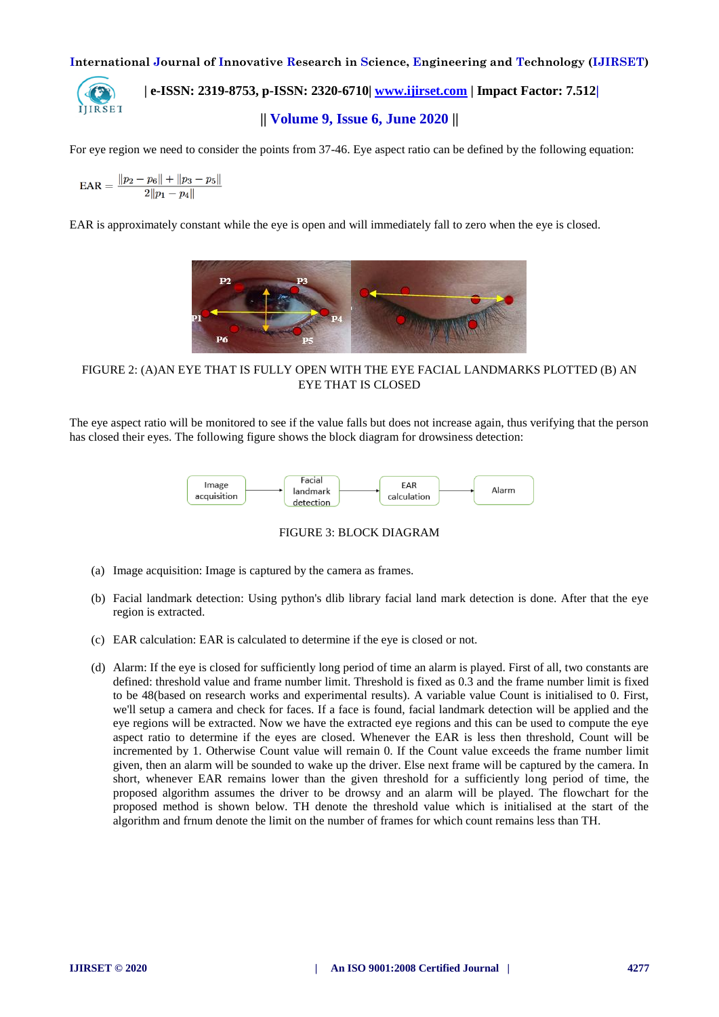## **| e-ISSN: 2319-8753, p-ISSN: 2320-6710| [www.ijirset.com](http://www.ijirset.com/) | Impact Factor: 7.512|** IJIRSET **|| Volume 9, Issue 6, June 2020 ||**

For eye region we need to consider the points from 37-46. Eye aspect ratio can be defined by the following equation:

$$
\text{EAR} = \frac{\|p_2 - p_6\| + \|p_3 - p_5\|}{2\|p_1 - p_4\|}
$$

EAR is approximately constant while the eye is open and will immediately fall to zero when the eye is closed.



FIGURE 2: (A)AN EYE THAT IS FULLY OPEN WITH THE EYE FACIAL LANDMARKS PLOTTED (B) AN EYE THAT IS CLOSED

The eye aspect ratio will be monitored to see if the value falls but does not increase again, thus verifying that the person has closed their eyes. The following figure shows the block diagram for drowsiness detection:



FIGURE 3: BLOCK DIAGRAM

- (a) Image acquisition: Image is captured by the camera as frames.
- (b) Facial landmark detection: Using python's dlib library facial land mark detection is done. After that the eye region is extracted.
- (c) EAR calculation: EAR is calculated to determine if the eye is closed or not.
- (d) Alarm: If the eye is closed for sufficiently long period of time an alarm is played. First of all, two constants are defined: threshold value and frame number limit. Threshold is fixed as 0.3 and the frame number limit is fixed to be 48(based on research works and experimental results). A variable value Count is initialised to 0. First, we'll setup a camera and check for faces. If a face is found, facial landmark detection will be applied and the eye regions will be extracted. Now we have the extracted eye regions and this can be used to compute the eye aspect ratio to determine if the eyes are closed. Whenever the EAR is less then threshold, Count will be incremented by 1. Otherwise Count value will remain 0. If the Count value exceeds the frame number limit given, then an alarm will be sounded to wake up the driver. Else next frame will be captured by the camera. In short, whenever EAR remains lower than the given threshold for a sufficiently long period of time, the proposed algorithm assumes the driver to be drowsy and an alarm will be played. The flowchart for the proposed method is shown below. TH denote the threshold value which is initialised at the start of the algorithm and frnum denote the limit on the number of frames for which count remains less than TH.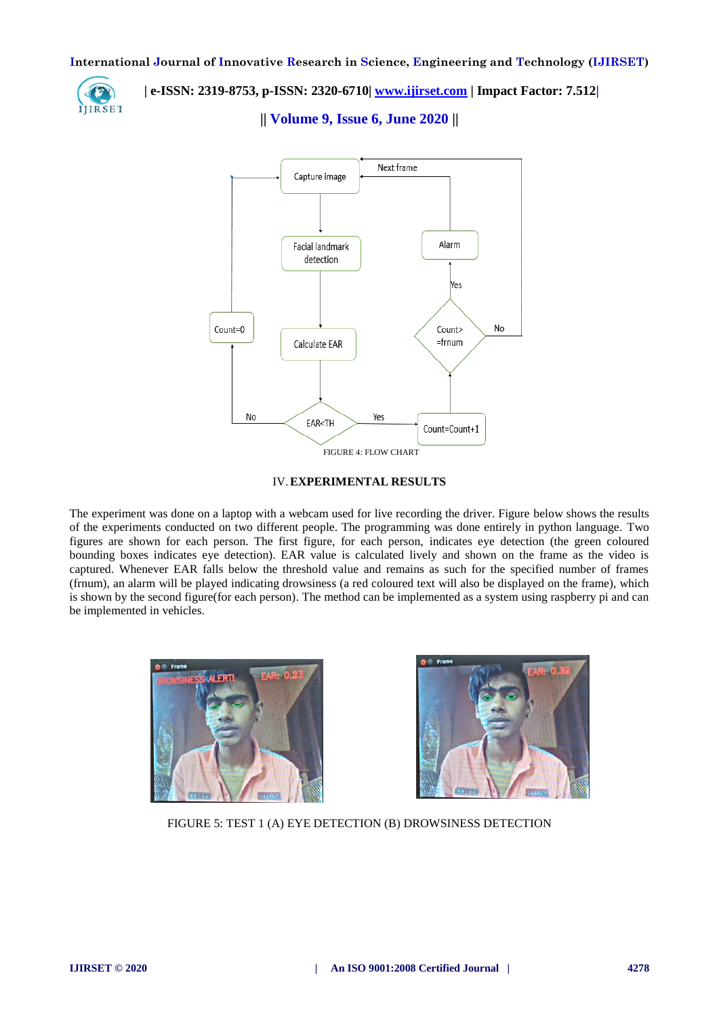

 **| e-ISSN: 2319-8753, p-ISSN: 2320-6710| [www.ijirset.com](http://www.ijirset.com/) | Impact Factor: 7.512|**

**|| Volume 9, Issue 6, June 2020 ||** 



IV.**EXPERIMENTAL RESULTS**

The experiment was done on a laptop with a webcam used for live recording the driver. Figure below shows the results of the experiments conducted on two different people. The programming was done entirely in python language. Two figures are shown for each person. The first figure, for each person, indicates eye detection (the green coloured bounding boxes indicates eye detection). EAR value is calculated lively and shown on the frame as the video is captured. Whenever EAR falls below the threshold value and remains as such for the specified number of frames (frnum), an alarm will be played indicating drowsiness (a red coloured text will also be displayed on the frame), which is shown by the second figure(for each person). The method can be implemented as a system using raspberry pi and can be implemented in vehicles.





FIGURE 5: TEST 1 (A) EYE DETECTION (B) DROWSINESS DETECTION